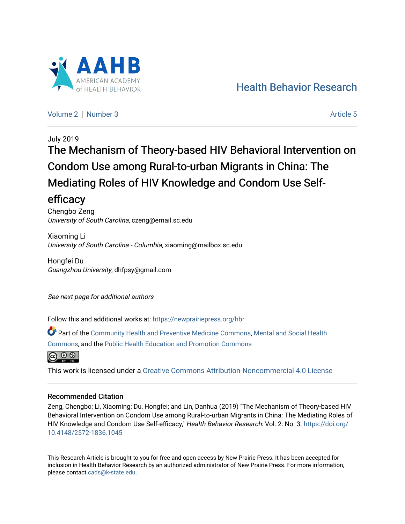

[Health Behavior Research](https://newprairiepress.org/hbr) 

[Volume 2](https://newprairiepress.org/hbr/vol2) | [Number 3](https://newprairiepress.org/hbr/vol2/iss3) Article 5

# July 2019 The Mechanism of Theory-based HIV Behavioral Intervention on Condom Use among Rural-to-urban Migrants in China: The Mediating Roles of HIV Knowledge and Condom Use Selfefficacy

Chengbo Zeng University of South Carolina, czeng@email.sc.edu

Xiaoming Li University of South Carolina - Columbia, xiaoming@mailbox.sc.edu

Hongfei Du Guangzhou University, dhfpsy@gmail.com

See next page for additional authors

Follow this and additional works at: [https://newprairiepress.org/hbr](https://newprairiepress.org/hbr?utm_source=newprairiepress.org%2Fhbr%2Fvol2%2Fiss3%2F5&utm_medium=PDF&utm_campaign=PDFCoverPages) 

Part of the [Community Health and Preventive Medicine Commons](http://network.bepress.com/hgg/discipline/744?utm_source=newprairiepress.org%2Fhbr%2Fvol2%2Fiss3%2F5&utm_medium=PDF&utm_campaign=PDFCoverPages), [Mental and Social Health](http://network.bepress.com/hgg/discipline/709?utm_source=newprairiepress.org%2Fhbr%2Fvol2%2Fiss3%2F5&utm_medium=PDF&utm_campaign=PDFCoverPages)  [Commons](http://network.bepress.com/hgg/discipline/709?utm_source=newprairiepress.org%2Fhbr%2Fvol2%2Fiss3%2F5&utm_medium=PDF&utm_campaign=PDFCoverPages), and the [Public Health Education and Promotion Commons](http://network.bepress.com/hgg/discipline/743?utm_source=newprairiepress.org%2Fhbr%2Fvol2%2Fiss3%2F5&utm_medium=PDF&utm_campaign=PDFCoverPages) 



This work is licensed under a [Creative Commons Attribution-Noncommercial 4.0 License](https://creativecommons.org/licenses/by-nc/4.0/)

### Recommended Citation

Zeng, Chengbo; Li, Xiaoming; Du, Hongfei; and Lin, Danhua (2019) "The Mechanism of Theory-based HIV Behavioral Intervention on Condom Use among Rural-to-urban Migrants in China: The Mediating Roles of HIV Knowledge and Condom Use Self-efficacy," Health Behavior Research: Vol. 2: No. 3. [https://doi.org/](https://doi.org/10.4148/2572-1836.1045) [10.4148/2572-1836.1045](https://doi.org/10.4148/2572-1836.1045)

This Research Article is brought to you for free and open access by New Prairie Press. It has been accepted for inclusion in Health Behavior Research by an authorized administrator of New Prairie Press. For more information, please contact [cads@k-state.edu.](mailto:cads@k-state.edu)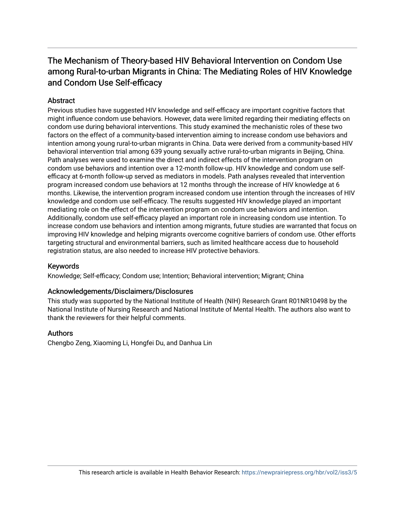## The Mechanism of Theory-based HIV Behavioral Intervention on Condom Use among Rural-to-urban Migrants in China: The Mediating Roles of HIV Knowledge and Condom Use Self-efficacy

## **Abstract**

Previous studies have suggested HIV knowledge and self-efficacy are important cognitive factors that might influence condom use behaviors. However, data were limited regarding their mediating effects on condom use during behavioral interventions. This study examined the mechanistic roles of these two factors on the effect of a community-based intervention aiming to increase condom use behaviors and intention among young rural-to-urban migrants in China. Data were derived from a community-based HIV behavioral intervention trial among 639 young sexually active rural-to-urban migrants in Beijing, China. Path analyses were used to examine the direct and indirect effects of the intervention program on condom use behaviors and intention over a 12-month follow-up. HIV knowledge and condom use selfefficacy at 6-month follow-up served as mediators in models. Path analyses revealed that intervention program increased condom use behaviors at 12 months through the increase of HIV knowledge at 6 months. Likewise, the intervention program increased condom use intention through the increases of HIV knowledge and condom use self-efficacy. The results suggested HIV knowledge played an important mediating role on the effect of the intervention program on condom use behaviors and intention. Additionally, condom use self-efficacy played an important role in increasing condom use intention. To increase condom use behaviors and intention among migrants, future studies are warranted that focus on improving HIV knowledge and helping migrants overcome cognitive barriers of condom use. Other efforts targeting structural and environmental barriers, such as limited healthcare access due to household registration status, are also needed to increase HIV protective behaviors.

### Keywords

Knowledge; Self-efficacy; Condom use; Intention; Behavioral intervention; Migrant; China

### Acknowledgements/Disclaimers/Disclosures

This study was supported by the National Institute of Health (NIH) Research Grant R01NR10498 by the National Institute of Nursing Research and National Institute of Mental Health. The authors also want to thank the reviewers for their helpful comments.

### Authors

Chengbo Zeng, Xiaoming Li, Hongfei Du, and Danhua Lin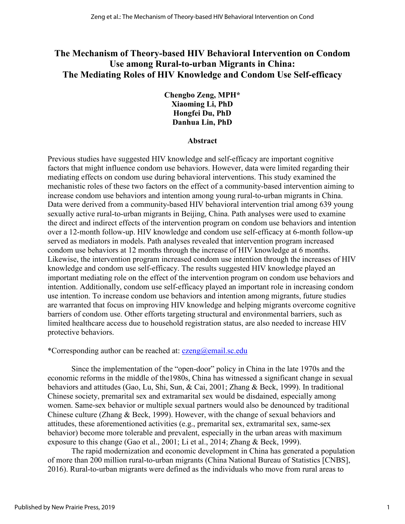## **The Mechanism of Theory-based HIV Behavioral Intervention on Condom Use among Rural-to-urban Migrants in China: The Mediating Roles of HIV Knowledge and Condom Use Self-efficacy**

**Chengbo Zeng, MPH\* Xiaoming Li, PhD Hongfei Du, PhD Danhua Lin, PhD**

#### **Abstract**

Previous studies have suggested HIV knowledge and self-efficacy are important cognitive factors that might influence condom use behaviors. However, data were limited regarding their mediating effects on condom use during behavioral interventions. This study examined the mechanistic roles of these two factors on the effect of a community-based intervention aiming to increase condom use behaviors and intention among young rural-to-urban migrants in China. Data were derived from a community-based HIV behavioral intervention trial among 639 young sexually active rural-to-urban migrants in Beijing, China. Path analyses were used to examine the direct and indirect effects of the intervention program on condom use behaviors and intention over a 12-month follow-up. HIV knowledge and condom use self-efficacy at 6-month follow-up served as mediators in models. Path analyses revealed that intervention program increased condom use behaviors at 12 months through the increase of HIV knowledge at 6 months. Likewise, the intervention program increased condom use intention through the increases of HIV knowledge and condom use self-efficacy. The results suggested HIV knowledge played an important mediating role on the effect of the intervention program on condom use behaviors and intention. Additionally, condom use self-efficacy played an important role in increasing condom use intention. To increase condom use behaviors and intention among migrants, future studies are warranted that focus on improving HIV knowledge and helping migrants overcome cognitive barriers of condom use. Other efforts targeting structural and environmental barriers, such as limited healthcare access due to household registration status, are also needed to increase HIV protective behaviors.

\*Corresponding author can be reached at:  $czeng@email$ .sc.edu

Since the implementation of the "open-door" policy in China in the late 1970s and the economic reforms in the middle of the1980s, China has witnessed a significant change in sexual behaviors and attitudes (Gao, Lu, Shi, Sun, & Cai, 2001; Zhang & Beck, 1999). In traditional Chinese society, premarital sex and extramarital sex would be disdained, especially among women. Same-sex behavior or multiple sexual partners would also be denounced by traditional Chinese culture (Zhang & Beck, 1999). However, with the change of sexual behaviors and attitudes, these aforementioned activities (e.g., premarital sex, extramarital sex, same-sex behavior) become more tolerable and prevalent, especially in the urban areas with maximum exposure to this change (Gao et al., 2001; Li et al., 2014; Zhang & Beck, 1999).

The rapid modernization and economic development in China has generated a population of more than 200 million rural-to-urban migrants (China National Bureau of Statistics [CNBS], 2016). Rural-to-urban migrants were defined as the individuals who move from rural areas to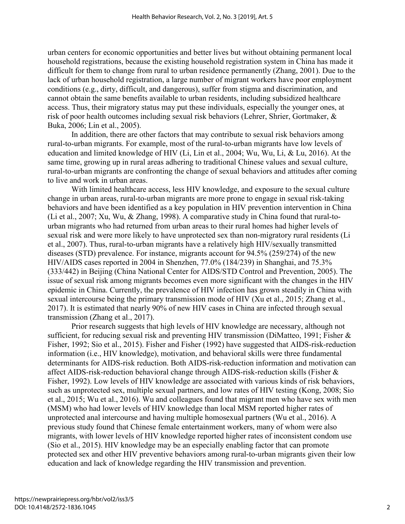urban centers for economic opportunities and better lives but without obtaining permanent local household registrations, because the existing household registration system in China has made it difficult for them to change from rural to urban residence permanently (Zhang, 2001). Due to the lack of urban household registration, a large number of migrant workers have poor employment conditions (e.g., dirty, difficult, and dangerous), suffer from stigma and discrimination, and cannot obtain the same benefits available to urban residents, including subsidized healthcare access. Thus, their migratory status may put these individuals, especially the younger ones, at risk of poor health outcomes including sexual risk behaviors (Lehrer, Shrier, Gortmaker, & Buka, 2006; Lin et al., 2005).

In addition, there are other factors that may contribute to sexual risk behaviors among rural-to-urban migrants. For example, most of the rural-to-urban migrants have low levels of education and limited knowledge of HIV (Li, Lin et al., 2004; Wu, Wu, Li, & Lu, 2016). At the same time, growing up in rural areas adhering to traditional Chinese values and sexual culture, rural-to-urban migrants are confronting the change of sexual behaviors and attitudes after coming to live and work in urban areas.

With limited healthcare access, less HIV knowledge, and exposure to the sexual culture change in urban areas, rural-to-urban migrants are more prone to engage in sexual risk-taking behaviors and have been identified as a key population in HIV prevention intervention in China (Li et al., 2007; Xu, Wu, & Zhang, 1998). A comparative study in China found that rural-tourban migrants who had returned from urban areas to their rural homes had higher levels of sexual risk and were more likely to have unprotected sex than non-migratory rural residents (Li et al., 2007). Thus, rural-to-urban migrants have a relatively high HIV/sexually transmitted diseases (STD) prevalence. For instance, migrants account for 94.5% (259/274) of the new HIV/AIDS cases reported in 2004 in Shenzhen, 77.0% (184/239) in Shanghai, and 75.3% (333/442) in Beijing (China National Center for AIDS/STD Control and Prevention, 2005). The issue of sexual risk among migrants becomes even more significant with the changes in the HIV epidemic in China. Currently, the prevalence of HIV infection has grown steadily in China with sexual intercourse being the primary transmission mode of HIV (Xu et al., 2015; Zhang et al., 2017). It is estimated that nearly 90% of new HIV cases in China are infected through sexual transmission (Zhang et al., 2017).

Prior research suggests that high levels of HIV knowledge are necessary, although not sufficient, for reducing sexual risk and preventing HIV transmission (DiMatteo, 1991; Fisher & Fisher, 1992; Sio et al., 2015). Fisher and Fisher (1992) have suggested that AIDS-risk-reduction information (i.e., HIV knowledge), motivation, and behavioral skills were three fundamental determinants for AIDS-risk reduction. Both AIDS-risk-reduction information and motivation can affect AIDS-risk-reduction behavioral change through AIDS-risk-reduction skills (Fisher & Fisher, 1992). Low levels of HIV knowledge are associated with various kinds of risk behaviors, such as unprotected sex, multiple sexual partners, and low rates of HIV testing (Kong, 2008; Sio et al., 2015; Wu et al., 2016). Wu and colleagues found that migrant men who have sex with men (MSM) who had lower levels of HIV knowledge than local MSM reported higher rates of unprotected anal intercourse and having multiple homosexual partners (Wu et al., 2016). A previous study found that Chinese female entertainment workers, many of whom were also migrants, with lower levels of HIV knowledge reported higher rates of inconsistent condom use (Sio et al., 2015). HIV knowledge may be an especially enabling factor that can promote protected sex and other HIV preventive behaviors among rural-to-urban migrants given their low education and lack of knowledge regarding the HIV transmission and prevention.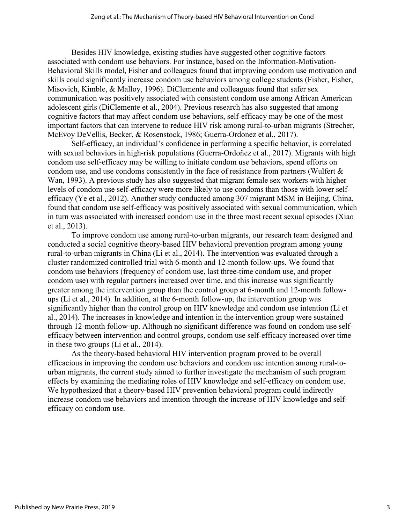Besides HIV knowledge, existing studies have suggested other cognitive factors associated with condom use behaviors. For instance, based on the Information-Motivation-Behavioral Skills model, Fisher and colleagues found that improving condom use motivation and skills could significantly increase condom use behaviors among college students (Fisher, Fisher, Misovich, Kimble, & Malloy, 1996). DiClemente and colleagues found that safer sex communication was positively associated with consistent condom use among African American adolescent girls (DiClemente et al., 2004). Previous research has also suggested that among cognitive factors that may affect condom use behaviors, self-efficacy may be one of the most important factors that can intervene to reduce HIV risk among rural-to-urban migrants (Strecher, McEvoy DeVellis, Becker, & Rosenstock, 1986; Guerra-Ordonez et al., 2017).

Self-efficacy, an individual's confidence in performing a specific behavior, is correlated with sexual behaviors in high-risk populations (Guerra-Ordoñez et al., 2017). Migrants with high condom use self-efficacy may be willing to initiate condom use behaviors, spend efforts on condom use, and use condoms consistently in the face of resistance from partners (Wulfert & Wan, 1993). A previous study has also suggested that migrant female sex workers with higher levels of condom use self-efficacy were more likely to use condoms than those with lower selfefficacy (Ye et al., 2012). Another study conducted among 307 migrant MSM in Beijing, China, found that condom use self-efficacy was positively associated with sexual communication, which in turn was associated with increased condom use in the three most recent sexual episodes (Xiao et al., 2013).

To improve condom use among rural-to-urban migrants, our research team designed and conducted a social cognitive theory-based HIV behavioral prevention program among young rural-to-urban migrants in China (Li et al., 2014). The intervention was evaluated through a cluster randomized controlled trial with 6-month and 12-month follow-ups. We found that condom use behaviors (frequency of condom use, last three-time condom use, and proper condom use) with regular partners increased over time, and this increase was significantly greater among the intervention group than the control group at 6-month and 12-month followups (Li et al., 2014). In addition, at the 6-month follow-up, the intervention group was significantly higher than the control group on HIV knowledge and condom use intention (Li et al., 2014). The increases in knowledge and intention in the intervention group were sustained through 12-month follow-up. Although no significant difference was found on condom use selfefficacy between intervention and control groups, condom use self-efficacy increased over time in these two groups (Li et al., 2014).

As the theory-based behavioral HIV intervention program proved to be overall efficacious in improving the condom use behaviors and condom use intention among rural-tourban migrants, the current study aimed to further investigate the mechanism of such program effects by examining the mediating roles of HIV knowledge and self-efficacy on condom use. We hypothesized that a theory-based HIV prevention behavioral program could indirectly increase condom use behaviors and intention through the increase of HIV knowledge and selfefficacy on condom use.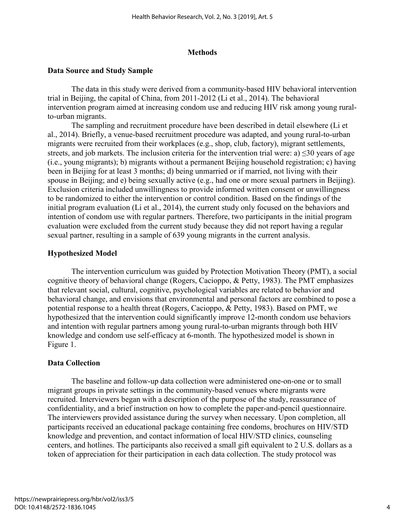### **Methods**

### **Data Source and Study Sample**

The data in this study were derived from a community-based HIV behavioral intervention trial in Beijing, the capital of China, from 2011-2012 (Li et al., 2014). The behavioral intervention program aimed at increasing condom use and reducing HIV risk among young ruralto-urban migrants.

The sampling and recruitment procedure have been described in detail elsewhere (Li et al., 2014). Briefly, a venue-based recruitment procedure was adapted, and young rural-to-urban migrants were recruited from their workplaces (e.g., shop, club, factory), migrant settlements, streets, and job markets. The inclusion criteria for the intervention trial were: a)  $\leq$ 30 years of age (i.e., young migrants); b) migrants without a permanent Beijing household registration; c) having been in Beijing for at least 3 months; d) being unmarried or if married, not living with their spouse in Beijing; and e) being sexually active (e.g., had one or more sexual partners in Beijing). Exclusion criteria included unwillingness to provide informed written consent or unwillingness to be randomized to either the intervention or control condition. Based on the findings of the initial program evaluation (Li et al., 2014), the current study only focused on the behaviors and intention of condom use with regular partners. Therefore, two participants in the initial program evaluation were excluded from the current study because they did not report having a regular sexual partner, resulting in a sample of 639 young migrants in the current analysis.

### **Hypothesized Model**

The intervention curriculum was guided by Protection Motivation Theory (PMT), a social cognitive theory of behavioral change (Rogers, Cacioppo, & Petty, 1983). The PMT emphasizes that relevant social, cultural, cognitive, psychological variables are related to behavior and behavioral change, and envisions that environmental and personal factors are combined to pose a potential response to a health threat (Rogers, Cacioppo, & Petty, 1983). Based on PMT, we hypothesized that the intervention could significantly improve 12-month condom use behaviors and intention with regular partners among young rural-to-urban migrants through both HIV knowledge and condom use self-efficacy at 6-month. The hypothesized model is shown in Figure 1.

### **Data Collection**

The baseline and follow-up data collection were administered one-on-one or to small migrant groups in private settings in the community-based venues where migrants were recruited. Interviewers began with a description of the purpose of the study, reassurance of confidentiality, and a brief instruction on how to complete the paper-and-pencil questionnaire. The interviewers provided assistance during the survey when necessary. Upon completion, all participants received an educational package containing free condoms, brochures on HIV/STD knowledge and prevention, and contact information of local HIV/STD clinics, counseling centers, and hotlines. The participants also received a small gift equivalent to 2 U.S. dollars as a token of appreciation for their participation in each data collection. The study protocol was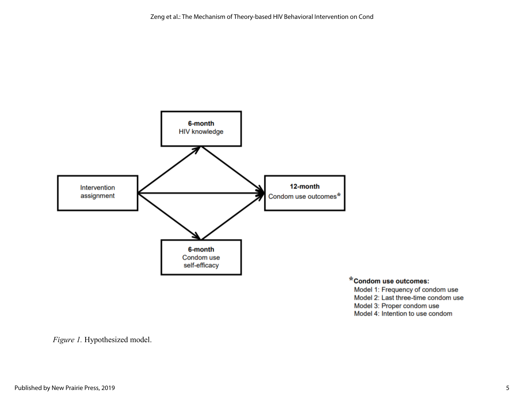

\*Condom use outcomes:

Model 1: Frequency of condom use Model 2: Last three-time condom use Model 3: Proper condom use Model 4: Intention to use condom

*Figure 1.* Hypothesized model.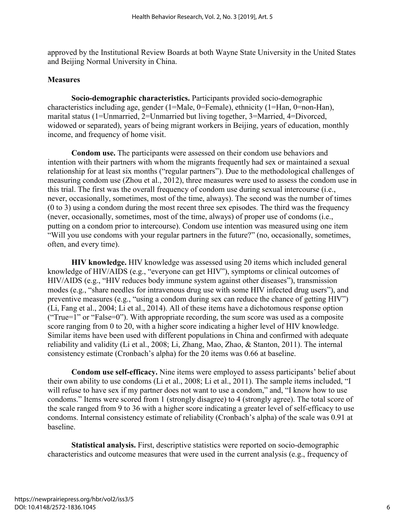approved by the Institutional Review Boards at both Wayne State University in the United States and Beijing Normal University in China.

### **Measures**

**Socio-demographic characteristics.** Participants provided socio-demographic characteristics including age, gender (1=Male, 0=Female), ethnicity (1=Han, 0=non-Han), marital status (1=Unmarried, 2=Unmarried but living together, 3=Married, 4=Divorced, widowed or separated), years of being migrant workers in Beijing, years of education, monthly income, and frequency of home visit.

**Condom use.** The participants were assessed on their condom use behaviors and intention with their partners with whom the migrants frequently had sex or maintained a sexual relationship for at least six months ("regular partners"). Due to the methodological challenges of measuring condom use (Zhou et al., 2012), three measures were used to assess the condom use in this trial. The first was the overall frequency of condom use during sexual intercourse (i.e., never, occasionally, sometimes, most of the time, always). The second was the number of times (0 to 3) using a condom during the most recent three sex episodes. The third was the frequency (never, occasionally, sometimes, most of the time, always) of proper use of condoms (i.e., putting on a condom prior to intercourse). Condom use intention was measured using one item "Will you use condoms with your regular partners in the future?" (no, occasionally, sometimes, often, and every time).

**HIV knowledge.** HIV knowledge was assessed using 20 items which included general knowledge of HIV/AIDS (e.g., "everyone can get HIV"), symptoms or clinical outcomes of HIV/AIDS (e.g., "HIV reduces body immune system against other diseases"), transmission modes (e.g., "share needles for intravenous drug use with some HIV infected drug users"), and preventive measures (e.g., "using a condom during sex can reduce the chance of getting HIV") (Li, Fang et al., 2004; Li et al., 2014). All of these items have a dichotomous response option ("True=1" or "False=0"). With appropriate recording, the sum score was used as a composite score ranging from 0 to 20, with a higher score indicating a higher level of HIV knowledge. Similar items have been used with different populations in China and confirmed with adequate reliability and validity (Li et al., 2008; Li, Zhang, Mao, Zhao, & Stanton, 2011). The internal consistency estimate (Cronbach's alpha) for the 20 items was 0.66 at baseline.

**Condom use self-efficacy.** Nine items were employed to assess participants' belief about their own ability to use condoms (Li et al., 2008; Li et al., 2011). The sample items included, "I will refuse to have sex if my partner does not want to use a condom," and, "I know how to use condoms." Items were scored from 1 (strongly disagree) to 4 (strongly agree). The total score of the scale ranged from 9 to 36 with a higher score indicating a greater level of self-efficacy to use condoms. Internal consistency estimate of reliability (Cronbach's alpha) of the scale was 0.91 at baseline.

**Statistical analysis.** First, descriptive statistics were reported on socio-demographic characteristics and outcome measures that were used in the current analysis (e.g., frequency of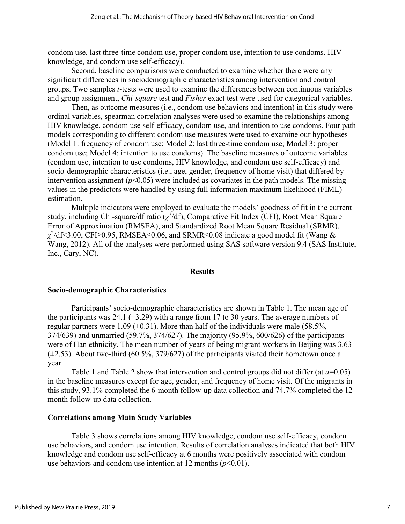condom use, last three-time condom use, proper condom use, intention to use condoms, HIV knowledge, and condom use self-efficacy).

Second, baseline comparisons were conducted to examine whether there were any significant differences in sociodemographic characteristics among intervention and control groups. Two samples *t*-tests were used to examine the differences between continuous variables and group assignment, *Chi-square* test and *Fisher* exact test were used for categorical variables.

Then, as outcome measures (i.e., condom use behaviors and intention) in this study were ordinal variables, spearman correlation analyses were used to examine the relationships among HIV knowledge, condom use self-efficacy, condom use, and intention to use condoms. Four path models corresponding to different condom use measures were used to examine our hypotheses (Model 1: frequency of condom use; Model 2: last three-time condom use; Model 3: proper condom use; Model 4: intention to use condoms). The baseline measures of outcome variables (condom use, intention to use condoms, HIV knowledge, and condom use self-efficacy) and socio-demographic characteristics (i.e., age, gender, frequency of home visit) that differed by intervention assignment  $(p<0.05)$  were included as covariates in the path models. The missing values in the predictors were handled by using full information maximum likelihood (FIML) estimation.

Multiple indicators were employed to evaluate the models' goodness of fit in the current study, including Chi-square/df ratio  $(\chi^2/df)$ , Comparative Fit Index (CFI), Root Mean Square Error of Approximation (RMSEA), and Standardized Root Mean Square Residual (SRMR). *χ*2 /df<3.00, CFI≥0.95, RMSEA≤0.06, and SRMR≤0.08 indicate a good model fit (Wang & Wang, 2012). All of the analyses were performed using SAS software version 9.4 (SAS Institute, Inc., Cary, NC).

#### **Results**

#### **Socio-demographic Characteristics**

Participants' socio-demographic characteristics are shown in Table 1. The mean age of the participants was 24.1 ( $\pm$ 3.29) with a range from 17 to 30 years. The average numbers of regular partners were 1.09 ( $\pm$ 0.31). More than half of the individuals were male (58.5%, 374/639) and unmarried (59.7%, 374/627). The majority (95.9%, 600/626) of the participants were of Han ethnicity. The mean number of years of being migrant workers in Beijing was 3.63  $(\pm 2.53)$ . About two-third (60.5%, 379/627) of the participants visited their hometown once a year.

Table 1 and Table 2 show that intervention and control groups did not differ (at *a*=0.05) in the baseline measures except for age, gender, and frequency of home visit. Of the migrants in this study, 93.1% completed the 6-month follow-up data collection and 74.7% completed the 12 month follow-up data collection.

#### **Correlations among Main Study Variables**

Table 3 shows correlations among HIV knowledge, condom use self-efficacy, condom use behaviors, and condom use intention. Results of correlation analyses indicated that both HIV knowledge and condom use self-efficacy at 6 months were positively associated with condom use behaviors and condom use intention at 12 months  $(p<0.01)$ .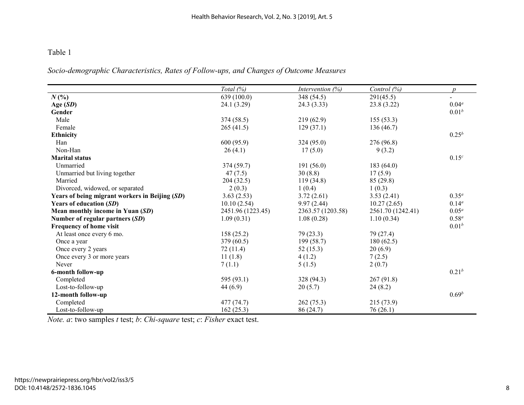*Socio-demographic Characteristics, Rates of Follow-ups, and Changes of Outcome Measures* 

|                                                | Total $(\%)$      | Intervention $(\%)$ | Control (%)       | $\boldsymbol{D}$  |
|------------------------------------------------|-------------------|---------------------|-------------------|-------------------|
| $N(\%)$                                        | 639 (100.0)       | 348 (54.5)          | 291(45.5)         | $\sim$            |
| Age $(SD)$                                     | 24.1 (3.29)       | 24.3(3.33)          | 23.8(3.22)        | $0.04^a$          |
| Gender                                         |                   |                     |                   | $0.01^{b}$        |
| Male                                           | 374(58.5)         | 219(62.9)           | 155(53.3)         |                   |
| Female                                         | 265(41.5)         | 129(37.1)           | 136(46.7)         |                   |
| <b>Ethnicity</b>                               |                   |                     |                   | $0.25^{b}$        |
| Han                                            | 600 (95.9)        | 324 (95.0)          | 276 (96.8)        |                   |
| Non-Han                                        | 26(4.1)           | 17(5.0)             | 9(3.2)            |                   |
| <b>Marital status</b>                          |                   |                     |                   | 0.15 <sup>c</sup> |
| Unmarried                                      | 374 (59.7)        | 191(56.0)           | 183(64.0)         |                   |
| Unmarried but living together                  | 47(7.5)           | 30(8.8)             | 17(5.9)           |                   |
| Married                                        | 204(32.5)         | 119(34.8)           | 85(29.8)          |                   |
| Divorced, widowed, or separated                | 2(0.3)            | 1(0.4)              | 1(0.3)            |                   |
| Years of being migrant workers in Beijing (SD) | 3.63(2.53)        | 3.72(2.61)          | 3.53(2.41)        | $0.35^{a}$        |
| Years of education (SD)                        | 10.10(2.54)       | 9.97(2.44)          | 10.27(2.65)       | $0.14^{a}$        |
| Mean monthly income in Yuan (SD)               | 2451.96 (1223.45) | 2363.57 (1203.58)   | 2561.70 (1242.41) | $0.05^a$          |
| Number of regular partners (SD)                | 1.09(0.31)        | 1.08(0.28)          | 1.10(0.34)        | $0.58^a$          |
| Frequency of home visit                        |                   |                     |                   | $0.01^{b}$        |
| At least once every 6 mo.                      | 158(25.2)         | 79(23.3)            | 79 (27.4)         |                   |
| Once a year                                    | 379(60.5)         | 199(58.7)           | 180(62.5)         |                   |
| Once every 2 years                             | 72 (11.4)         | 52(15.3)            | 20(6.9)           |                   |
| Once every 3 or more years                     | 11(1.8)           | 4(1.2)              | 7(2.5)            |                   |
| Never                                          | 7(1.1)            | 5(1.5)              | 2(0.7)            |                   |
| 6-month follow-up                              |                   |                     |                   | $0.21^{b}$        |
| Completed                                      | 595 (93.1)        | 328 (94.3)          | 267(91.8)         |                   |
| Lost-to-follow-up                              | 44(6.9)           | 20(5.7)             | 24(8.2)           |                   |
| 12-month follow-up                             |                   |                     |                   | 0.69 <sup>b</sup> |
| Completed                                      | 477 (74.7)        | 262(75.3)           | 215(73.9)         |                   |
| Lost-to-follow-up                              | 162(25.3)         | 86 (24.7)           | 76(26.1)          |                   |

*Note. a*: two samples *t* test; *b*: *Chi-square* test; *c*: *Fisher* exact test.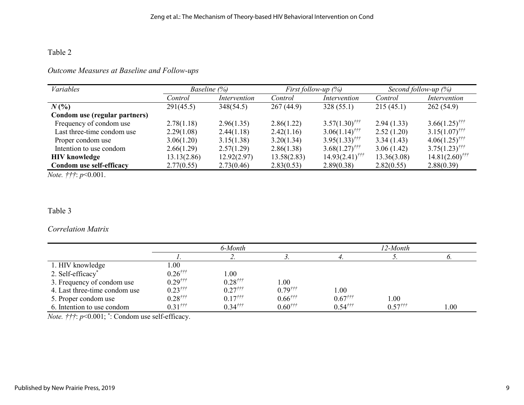## *Outcome Measures at Baseline and Follow-ups*

| Variables                     | Baseline (%) |              | <i>First follow-up</i> $(\%)$ |                              | Second follow-up $(\%)$ |                              |
|-------------------------------|--------------|--------------|-------------------------------|------------------------------|-------------------------|------------------------------|
|                               | Control      | Intervention | Control                       | Intervention                 | Control                 | Intervention                 |
| $N(\%)$                       | 291(45.5)    | 348(54.5)    | 267(44.9)                     | 328(55.1)                    | 215(45.1)               | 262(54.9)                    |
| Condom use (regular partners) |              |              |                               |                              |                         |                              |
| Frequency of condom use       | 2.78(1.18)   | 2.96(1.35)   | 2.86(1.22)                    | $3.57(1.30)$ <sup>†††</sup>  | 2.94(1.33)              | $3.66(1.25)$ <sup>†††</sup>  |
| Last three-time condom use    | 2.29(1.08)   | 2.44(1.18)   | 2.42(1.16)                    | $3.06(1.14)$ <sup>†††</sup>  | 2.52(1.20)              | $3.15(1.07)$ <sup>†††</sup>  |
| Proper condom use             | 3.06(1.20)   | 3.15(1.38)   | 3.20(1.34)                    | $3.95(1.33)$ <sup>†††</sup>  | 3.34(1.43)              | $4.06(1.25)$ <sup>†††</sup>  |
| Intention to use condom       | 2.66(1.29)   | 2.57(1.29)   | 2.86(1.38)                    | $3.68(1.27)$ <sup>†††</sup>  | 3.06(1.42)              | $3.75(1.23)$ <sup>†††</sup>  |
| <b>HIV</b> knowledge          | 13.13(2.86)  | 12.92(2.97)  | 13.58(2.83)                   | $14.93(2.41)$ <sup>†††</sup> | 13.36(3.08)             | $14.81(2.60)$ <sup>†††</sup> |
| Condom use self-efficacy      | 2.77(0.55)   | 2.73(0.46)   | 2.83(0.53)                    | 2.89(0.38)                   | 2.82(0.55)              | 2.88(0.39)                   |

*Note. †††*: *p*<0.001.

## Table 3

## *Correlation Matrix*

|                               | 6-Month                  |                                                |                                                                                                                                                                                                                                                                                                                                                                                                                                                                           | 12-Month                                 |                                                 |      |
|-------------------------------|--------------------------|------------------------------------------------|---------------------------------------------------------------------------------------------------------------------------------------------------------------------------------------------------------------------------------------------------------------------------------------------------------------------------------------------------------------------------------------------------------------------------------------------------------------------------|------------------------------------------|-------------------------------------------------|------|
|                               |                          | ٠.                                             |                                                                                                                                                                                                                                                                                                                                                                                                                                                                           |                                          |                                                 |      |
| 1. HIV knowledge              | 00.1                     |                                                |                                                                                                                                                                                                                                                                                                                                                                                                                                                                           |                                          |                                                 |      |
| 2. Self-efficacy <sup>*</sup> | $0.26^{ \frac{ \pi}{7}}$ | 1.00                                           |                                                                                                                                                                                                                                                                                                                                                                                                                                                                           |                                          |                                                 |      |
| 3. Frequency of condom use    | $0.29^{ \frac{ \pi}{7}}$ | $0.28^{ \frac{\pi}{7}}$                        | $1.00\,$                                                                                                                                                                                                                                                                                                                                                                                                                                                                  |                                          |                                                 |      |
| 4. Last three-time condom use | $0.23^{ \frac{ \pi}{7}}$ | $0.27^{ \frac{ \text{+}}{ \text{+}} \text{+}}$ | $0.79^{ \frac{ \text{ }}{ \text{ }}1 \text{ } \text{ }}0.79^{ \frac{ \text{ }}{ \text{ }}1 \text{ } \text{ }}0.79^{ \frac{ \text{ }}{ \text{ }}1 \text{ } \text{ }}0.79^{ \frac{ \text{ }}{ \text{ }}1 \text{ } \text{ }}0.79^{ \frac{ \text{ }}{ \text{ }}1 \text{ } \text{ }}0.79^{ \frac{ \text{ }}{ \text{ }}1 \text{ } \text{ }}0.79^{ \frac{ \text{ }}{ \text{ }}1 \text{ } \text{ }}0.79^{ \frac{ \text{ }}{ \text{ }}1 \text{ } \text{ }}0.79^{ \frac{ \text{ }}$ | 1.00                                     |                                                 |      |
| 5. Proper condom use          | $0.28^{ \frac{t}{t}}$    | $0.17^{ \frac{ \pi}{7}}$                       | $0.66^{ \dagger \dagger \dagger}$                                                                                                                                                                                                                                                                                                                                                                                                                                         | $0.67^{ \frac{ \text{ }}{ \text{ }}117}$ | 1.00                                            |      |
| 6. Intention to use condom    | $0.31^{ \frac{ \pi}{7}}$ | $0.34^{ \frac{ \pi}{7}}$                       | $0.60^{ \frac{\pi}{7}}$                                                                                                                                                                                                                                                                                                                                                                                                                                                   | $0.54^{ \frac{ \pi}{7}}$                 | $0.57^{ \frac{ \text{ }}{ \text{ }}1 \text{ }}$ | 00.1 |

*Note. †††*: *p*<0.001; \* : Condom use self-efficacy.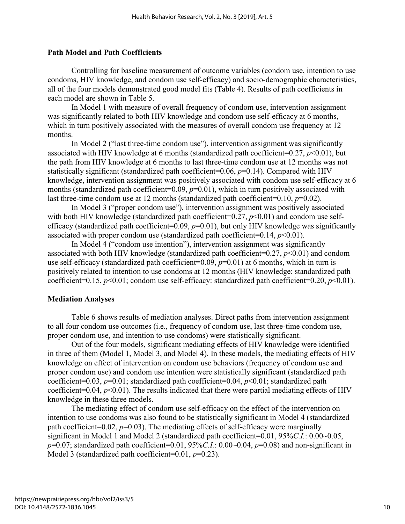#### **Path Model and Path Coefficients**

Controlling for baseline measurement of outcome variables (condom use, intention to use condoms, HIV knowledge, and condom use self-efficacy) and socio-demographic characteristics, all of the four models demonstrated good model fits (Table 4). Results of path coefficients in each model are shown in Table 5.

In Model 1 with measure of overall frequency of condom use, intervention assignment was significantly related to both HIV knowledge and condom use self-efficacy at 6 months, which in turn positively associated with the measures of overall condom use frequency at 12 months.

In Model 2 ("last three-time condom use"), intervention assignment was significantly associated with HIV knowledge at 6 months (standardized path coefficient=0.27, *p*<0.01), but the path from HIV knowledge at 6 months to last three-time condom use at 12 months was not statistically significant (standardized path coefficient=0.06, *p*=0.14). Compared with HIV knowledge, intervention assignment was positively associated with condom use self-efficacy at 6 months (standardized path coefficient=0.09,  $p=0.01$ ), which in turn positively associated with last three-time condom use at 12 months (standardized path coefficient= $0.10, p=0.02$ ).

In Model 3 ("proper condom use"), intervention assignment was positively associated with both HIV knowledge (standardized path coefficient=0.27,  $p$ <0.01) and condom use selfefficacy (standardized path coefficient=0.09, *p*=0.01), but only HIV knowledge was significantly associated with proper condom use (standardized path coefficient= $0.14$ ,  $p<0.01$ ).

In Model 4 ("condom use intention"), intervention assignment was significantly associated with both HIV knowledge (standardized path coefficient= $0.27, p<0.01$ ) and condom use self-efficacy (standardized path coefficient=0.09,  $p=0.01$ ) at 6 months, which in turn is positively related to intention to use condoms at 12 months (HIV knowledge: standardized path coefficient=0.15,  $p<0.01$ ; condom use self-efficacy: standardized path coefficient=0.20,  $p<0.01$ ).

#### **Mediation Analyses**

Table 6 shows results of mediation analyses. Direct paths from intervention assignment to all four condom use outcomes (i.e., frequency of condom use, last three-time condom use, proper condom use, and intention to use condoms) were statistically significant.

Out of the four models, significant mediating effects of HIV knowledge were identified in three of them (Model 1, Model 3, and Model 4). In these models, the mediating effects of HIV knowledge on effect of intervention on condom use behaviors (frequency of condom use and proper condom use) and condom use intention were statistically significant (standardized path coefficient=0.03, *p*=0.01; standardized path coefficient=0.04, *p*<0.01; standardized path coefficient=0.04,  $p<0.01$ ). The results indicated that there were partial mediating effects of HIV knowledge in these three models.

The mediating effect of condom use self-efficacy on the effect of the intervention on intention to use condoms was also found to be statistically significant in Model 4 (standardized path coefficient=0.02,  $p=0.03$ ). The mediating effects of self-efficacy were marginally significant in Model 1 and Model 2 (standardized path coefficient=0.01, 95%*C.I.*: 0.00~0.05,  $p=0.07$ ; standardized path coefficient=0.01, 95%*C.I*.: 0.00~0.04,  $p=0.08$ ) and non-significant in Model 3 (standardized path coefficient=0.01, *p*=0.23).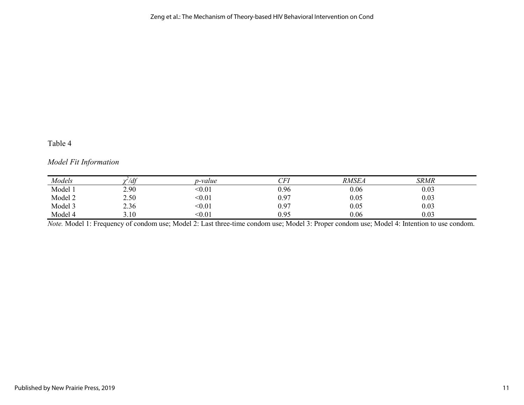## *Model Fit Information*

| Models  | $\frac{df}{dt}$        | p-value | CFI<br>ິ້ | <b>RMSEA</b> | <b>SRMR</b> |  |
|---------|------------------------|---------|-----------|--------------|-------------|--|
| Model 1 | 2.90                   | < 0.01  | 0.96      | 0.06         | 0.03        |  |
| Model 2 | 2.50                   | < 0.01  | 0.97      | 0.05         | 0.03        |  |
| Model 3 | 2.36                   | < 0.01  | 0.97      | 0.05         | 0.03        |  |
| Model 4 | 1 <sub>0</sub><br>3.IU | < 0.01  | 0.95      | 0.06         | 0.03        |  |

*Note.* Model 1: Frequency of condom use; Model 2: Last three-time condom use; Model 3: Proper condom use; Model 4: Intention to use condom.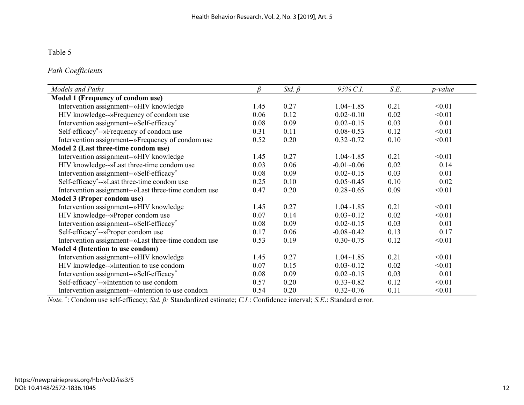*Path Coefficients*

| Models and Paths                                      |      | Std. $\beta$ | 95% C.I.       | S.E. | p-value |
|-------------------------------------------------------|------|--------------|----------------|------|---------|
| Model 1 (Frequency of condom use)                     |      |              |                |      |         |
| Intervention assignment--»HIV knowledge               | 1.45 | 0.27         | $1.04 - 1.85$  | 0.21 | < 0.01  |
| HIV knowledge--»Frequency of condom use               | 0.06 | 0.12         | $0.02 - 0.10$  | 0.02 | < 0.01  |
| Intervention assignment--»Self-efficacy*              | 0.08 | 0.09         | $0.02 - 0.15$  | 0.03 | 0.01    |
| Self-efficacy*--»Frequency of condom use              | 0.31 | 0.11         | $0.08 - 0.53$  | 0.12 | < 0.01  |
| Intervention assignment--»Frequency of condom use     | 0.52 | 0.20         | $0.32 - 0.72$  | 0.10 | < 0.01  |
| Model 2 (Last three-time condom use)                  |      |              |                |      |         |
| Intervention assignment--»HIV knowledge               | 1.45 | 0.27         | $1.04 - 1.85$  | 0.21 | < 0.01  |
| HIV knowledge--»Last three-time condom use            | 0.03 | 0.06         | $-0.01 - 0.06$ | 0.02 | 0.14    |
| Intervention assignment--»Self-efficacy*              | 0.08 | 0.09         | $0.02 - 0.15$  | 0.03 | 0.01    |
| Self-efficacy*--»Last three-time condom use           | 0.25 | 0.10         | $0.05 - 0.45$  | 0.10 | 0.02    |
| Intervention assignment--»Last three-time condom use  | 0.47 | 0.20         | $0.28 - 0.65$  | 0.09 | < 0.01  |
| Model 3 (Proper condom use)                           |      |              |                |      |         |
| Intervention assignment--»HIV knowledge               | 1.45 | 0.27         | $1.04 - 1.85$  | 0.21 | < 0.01  |
| HIV knowledge--»Proper condom use                     | 0.07 | 0.14         | $0.03 - 0.12$  | 0.02 | < 0.01  |
| Intervention assignment--»Self-efficacy*              | 0.08 | 0.09         | $0.02 - 0.15$  | 0.03 | 0.01    |
| Self-efficacy*--»Proper condom use                    | 0.17 | 0.06         | $-0.08 - 0.42$ | 0.13 | 0.17    |
| Intervention assignment--»Last three-time condom use  | 0.53 | 0.19         | $0.30 - 0.75$  | 0.12 | < 0.01  |
| Model 4 (Intention to use condom)                     |      |              |                |      |         |
| Intervention assignment--»HIV knowledge               | 1.45 | 0.27         | $1.04 - 1.85$  | 0.21 | < 0.01  |
| HIV knowledge--»Intention to use condom               | 0.07 | 0.15         | $0.03 - 0.12$  | 0.02 | < 0.01  |
| Intervention assignment--»Self-efficacy*              | 0.08 | 0.09         | $0.02 - 0.15$  | 0.03 | 0.01    |
| Self-efficacy <sup>*</sup> --»Intention to use condom | 0.57 | 0.20         | $0.33 - 0.82$  | 0.12 | < 0.01  |
| Intervention assignment--»Intention to use condom     | 0.54 | 0.20         | $0.32 - 0.76$  | 0.11 | < 0.01  |

*Note.* \* : Condom use self-efficacy; *Std. β:* Standardized estimate; *C.I.*: Confidence interval; *S.E*.: Standard error.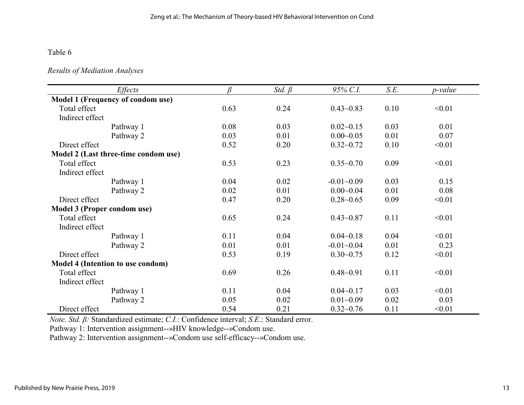### *Results of Mediation Analyses*

| Effects                              | ß    | Std. $\beta$ | 95% C.I.       | S.E. | p-value |
|--------------------------------------|------|--------------|----------------|------|---------|
| Model 1 (Frequency of condom use)    |      |              |                |      |         |
| Total effect                         | 0.63 | 0.24         | $0.43 - 0.83$  | 0.10 | < 0.01  |
| Indirect effect                      |      |              |                |      |         |
| Pathway 1                            | 0.08 | 0.03         | $0.02 - 0.15$  | 0.03 | 0.01    |
| Pathway 2                            | 0.03 | 0.01         | $0.00 - 0.05$  | 0.01 | 0.07    |
| Direct effect                        | 0.52 | 0.20         | $0.32 - 0.72$  | 0.10 | < 0.01  |
| Model 2 (Last three-time condom use) |      |              |                |      |         |
| Total effect                         | 0.53 | 0.23         | $0.35 - 0.70$  | 0.09 | < 0.01  |
| Indirect effect                      |      |              |                |      |         |
| Pathway 1                            | 0.04 | 0.02         | $-0.01 - 0.09$ | 0.03 | 0.15    |
| Pathway 2                            | 0.02 | 0.01         | $0.00 - 0.04$  | 0.01 | 0.08    |
| Direct effect                        | 0.47 | 0.20         | $0.28 - 0.65$  | 0.09 | < 0.01  |
| Model 3 (Proper condom use)          |      |              |                |      |         |
| Total effect                         | 0.65 | 0.24         | $0.43 - 0.87$  | 0.11 | < 0.01  |
| Indirect effect                      |      |              |                |      |         |
| Pathway 1                            | 0.11 | 0.04         | $0.04 - 0.18$  | 0.04 | < 0.01  |
| Pathway 2                            | 0.01 | 0.01         | $-0.01 - 0.04$ | 0.01 | 0.23    |
| Direct effect                        | 0.53 | 0.19         | $0.30 - 0.75$  | 0.12 | < 0.01  |
| Model 4 (Intention to use condom)    |      |              |                |      |         |
| Total effect                         | 0.69 | 0.26         | $0.48 - 0.91$  | 0.11 | < 0.01  |
| Indirect effect                      |      |              |                |      |         |
| Pathway 1                            | 0.11 | 0.04         | $0.04 - 0.17$  | 0.03 | < 0.01  |
| Pathway 2                            | 0.05 | 0.02         | $0.01 - 0.09$  | 0.02 | 0.03    |
| Direct effect                        | 0.54 | 0.21         | $0.32 - 0.76$  | 0.11 | < 0.01  |

*Note. Std. β:* Standardized estimate; *C.I.*: Confidence interval; *S.E*.: Standard error.

Pathway 1: Intervention assignment--»HIV knowledge--»Condom use.

Pathway 2: Intervention assignment--»Condom use self-efficacy--»Condom use.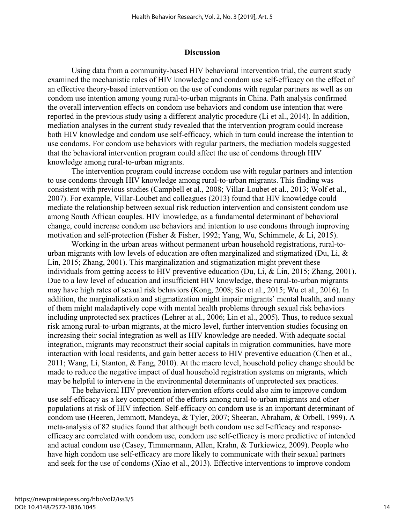#### **Discussion**

Using data from a community-based HIV behavioral intervention trial, the current study examined the mechanistic roles of HIV knowledge and condom use self-efficacy on the effect of an effective theory-based intervention on the use of condoms with regular partners as well as on condom use intention among young rural-to-urban migrants in China. Path analysis confirmed the overall intervention effects on condom use behaviors and condom use intention that were reported in the previous study using a different analytic procedure (Li et al., 2014). In addition, mediation analyses in the current study revealed that the intervention program could increase both HIV knowledge and condom use self-efficacy, which in turn could increase the intention to use condoms. For condom use behaviors with regular partners, the mediation models suggested that the behavioral intervention program could affect the use of condoms through HIV knowledge among rural-to-urban migrants.

The intervention program could increase condom use with regular partners and intention to use condoms through HIV knowledge among rural-to-urban migrants. This finding was consistent with previous studies (Campbell et al., 2008; Villar-Loubet et al., 2013; Wolf et al., 2007). For example, Villar-Loubet and colleagues (2013) found that HIV knowledge could mediate the relationship between sexual risk reduction intervention and consistent condom use among South African couples. HIV knowledge, as a fundamental determinant of behavioral change, could increase condom use behaviors and intention to use condoms through improving motivation and self-protection (Fisher & Fisher, 1992; Yang, Wu, Schimmele, & Li, 2015).

Working in the urban areas without permanent urban household registrations, rural-tourban migrants with low levels of education are often marginalized and stigmatized (Du, Li, & Lin, 2015; Zhang, 2001). This marginalization and stigmatization might prevent these individuals from getting access to HIV preventive education (Du, Li, & Lin, 2015; Zhang, 2001). Due to a low level of education and insufficient HIV knowledge, these rural-to-urban migrants may have high rates of sexual risk behaviors (Kong, 2008; Sio et al., 2015; Wu et al., 2016). In addition, the marginalization and stigmatization might impair migrants' mental health, and many of them might maladaptively cope with mental health problems through sexual risk behaviors including unprotected sex practices (Lehrer at al., 2006; Lin et al., 2005). Thus, to reduce sexual risk among rural-to-urban migrants, at the micro level, further intervention studies focusing on increasing their social integration as well as HIV knowledge are needed. With adequate social integration, migrants may reconstruct their social capitals in migration communities, have more interaction with local residents, and gain better access to HIV preventive education (Chen et al., 2011; Wang, Li, Stanton, & Fang, 2010). At the macro level, household policy change should be made to reduce the negative impact of dual household registration systems on migrants, which may be helpful to intervene in the environmental determinants of unprotected sex practices.

The behavioral HIV prevention intervention efforts could also aim to improve condom use self-efficacy as a key component of the efforts among rural-to-urban migrants and other populations at risk of HIV infection. Self-efficacy on condom use is an important determinant of condom use (Heeren, Jemmott, Mandeya, & Tyler, 2007; Sheeran, Abraham, & Orbell, 1999). A meta-analysis of 82 studies found that although both condom use self-efficacy and responseefficacy are correlated with condom use, condom use self-efficacy is more predictive of intended and actual condom use (Casey, Timmermann, Allen, Krahn, & Turkiewicz, 2009). People who have high condom use self-efficacy are more likely to communicate with their sexual partners and seek for the use of condoms (Xiao et al., 2013). Effective interventions to improve condom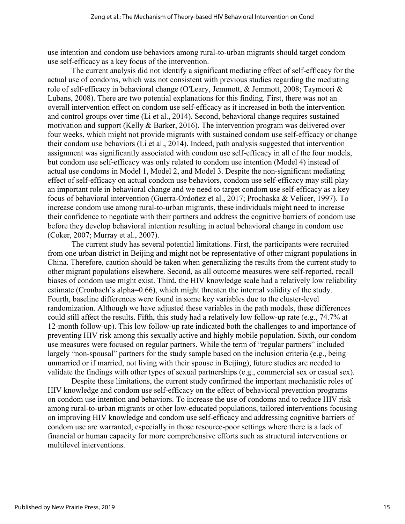use intention and condom use behaviors among rural-to-urban migrants should target condom use self-efficacy as a key focus of the intervention.

The current analysis did not identify a significant mediating effect of self-efficacy for the actual use of condoms, which was not consistent with previous studies regarding the mediating role of self-efficacy in behavioral change (O'Leary, Jemmott, & Jemmott, 2008; Taymoori & Lubans, 2008). There are two potential explanations for this finding. First, there was not an overall intervention effect on condom use self-efficacy as it increased in both the intervention and control groups over time (Li et al., 2014). Second, behavioral change requires sustained motivation and support (Kelly & Barker, 2016). The intervention program was delivered over four weeks, which might not provide migrants with sustained condom use self-efficacy or change their condom use behaviors (Li et al., 2014). Indeed, path analysis suggested that intervention assignment was significantly associated with condom use self-efficacy in all of the four models, but condom use self-efficacy was only related to condom use intention (Model 4) instead of actual use condoms in Model 1, Model 2, and Model 3. Despite the non-significant mediating effect of self-efficacy on actual condom use behaviors, condom use self-efficacy may still play an important role in behavioral change and we need to target condom use self-efficacy as a key focus of behavioral intervention (Guerra-Ordoñez et al., 2017; Prochaska & Velicer, 1997). To increase condom use among rural-to-urban migrants, these individuals might need to increase their confidence to negotiate with their partners and address the cognitive barriers of condom use before they develop behavioral intention resulting in actual behavioral change in condom use (Coker, 2007; Murray et al., 2007).

The current study has several potential limitations. First, the participants were recruited from one urban district in Beijing and might not be representative of other migrant populations in China. Therefore, caution should be taken when generalizing the results from the current study to other migrant populations elsewhere. Second, as all outcome measures were self-reported, recall biases of condom use might exist. Third, the HIV knowledge scale had a relatively low reliability estimate (Cronbach's alpha=0.66), which might threaten the internal validity of the study. Fourth, baseline differences were found in some key variables due to the cluster-level randomization. Although we have adjusted these variables in the path models, these differences could still affect the results. Fifth, this study had a relatively low follow-up rate (e.g., 74.7% at 12-month follow-up). This low follow-up rate indicated both the challenges to and importance of preventing HIV risk among this sexually active and highly mobile population. Sixth, our condom use measures were focused on regular partners. While the term of "regular partners" included largely "non-spousal" partners for the study sample based on the inclusion criteria (e.g., being unmarried or if married, not living with their spouse in Beijing), future studies are needed to validate the findings with other types of sexual partnerships (e.g., commercial sex or casual sex).

Despite these limitations, the current study confirmed the important mechanistic roles of HIV knowledge and condom use self-efficacy on the effect of behavioral prevention programs on condom use intention and behaviors. To increase the use of condoms and to reduce HIV risk among rural-to-urban migrants or other low-educated populations, tailored interventions focusing on improving HIV knowledge and condom use self-efficacy and addressing cognitive barriers of condom use are warranted, especially in those resource-poor settings where there is a lack of financial or human capacity for more comprehensive efforts such as structural interventions or multilevel interventions.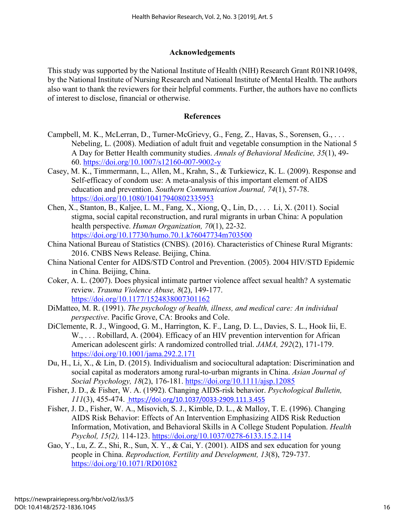## **Acknowledgements**

This study was supported by the National Institute of Health (NIH) Research Grant R01NR10498, by the National Institute of Nursing Research and National Institute of Mental Health. The authors also want to thank the reviewers for their helpful comments. Further, the authors have no conflicts of interest to disclose, financial or otherwise.

## **References**

- Campbell, M. K., McLerran, D., Turner-McGrievy, G., Feng, Z., Havas, S., Sorensen, G., . . . Nebeling, L. (2008). Mediation of adult fruit and vegetable consumption in the National 5 A Day for Better Health community studies. *Annals of Behavioral Medicine, 35*(1), 49- 60.<https://doi.org/10.1007/s12160-007-9002-y>
- Casey, M. K., Timmermann, L., Allen, M., Krahn, S., & Turkiewicz, K. L. (2009). Response and Self-efficacy of condom use: A meta-analysis of this important element of AIDS education and prevention. *Southern Communication Journal, 74*(1), 57-78. <https://doi.org/10.1080/10417940802335953>
- Chen, X., Stanton, B., Kaljee, L. M., Fang, X., Xiong, Q., Lin, D., . . . Li, X. (2011). Social stigma, social capital reconstruction, and rural migrants in urban China: A population health perspective. *Human Organization, 70*(1), 22-32. <https://doi.org/10.17730/humo.70.1.k76047734m703500>
- China National Bureau of Statistics (CNBS). (2016). Characteristics of Chinese Rural Migrants: 2016. CNBS News Release. Beijing, China.
- China National Center for AIDS/STD Control and Prevention. (2005). 2004 HIV/STD Epidemic in China. Beijing, China.
- Coker, A. L. (2007). Does physical intimate partner violence affect sexual health? A systematic review. *Trauma Violence Abuse, 8*(2), 149-177. <https://doi.org/10.1177/1524838007301162>
- DiMatteo, M. R. (1991). *The psychology of health, illness, and medical care: An individual perspective*. Pacific Grove, CA: Brooks and Cole.
- DiClemente, R. J., Wingood, G. M., Harrington, K. F., Lang, D. L., Davies, S. L., Hook Iii, E. W., ... Robillard, A. (2004). Efficacy of an HIV prevention intervention for African American adolescent girls: A randomized controlled trial. *JAMA, 292*(2), 171-179. <https://doi.org/10.1001/jama.292.2.171>
- Du, H., Li, X., & Lin, D. (2015). Individualism and sociocultural adaptation: Discrimination and social capital as moderators among rural-to-urban migrants in China. *Asian Journal of Social Psychology, 18*(2), 176-181.<https://doi.org/10.1111/ajsp.12085>
- Fisher, J. D., & Fisher, W. A. (1992). Changing AIDS-risk behavior. *Psychological Bulletin, 111*(3), 455-474. <https://doi.org/10.1037/0033-2909.111.3.455>
- Fisher, J. D., Fisher, W. A., Misovich, S. J., Kimble, D. L., & Malloy, T. E. (1996). Changing AIDS Risk Behavior: Effects of An Intervention Emphasizing AIDS Risk Reduction Information, Motivation, and Behavioral Skills in A College Student Population. *Health Psychol, 15(2),* 114-123.<https://doi.org/10.1037/0278-6133.15.2.114>
- Gao, Y., Lu, Z. Z., Shi, R., Sun, X. Y., & Cai, Y. (2001). AIDS and sex education for young people in China. *Reproduction, Fertility and Development, 13*(8), 729-737. <https://doi.org/10.1071/RD01082>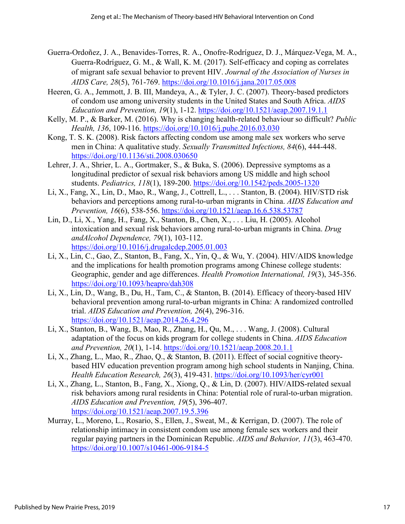- Guerra-Ordoñez, J. A., Benavides-Torres, R. A., Onofre-Rodríguez, D. J., Márquez-Vega, M. A., Guerra-Rodríguez, G. M., & Wall, K. M. (2017). Self-efficacy and coping as correlates of migrant safe sexual behavior to prevent HIV. *Journal of the Association of Nurses in AIDS Care, 28*(5), 761-769.<https://doi.org/10.1016/j.jana.2017.05.008>
- Heeren, G. A., Jemmott, J. B. III, Mandeya, A., & Tyler, J. C. (2007). Theory-based predictors of condom use among university students in the United States and South Africa. *AIDS Education and Prevention, 19*(1), 1-12.<https://doi.org/10.1521/aeap.2007.19.1.1>
- Kelly, M. P., & Barker, M. (2016). Why is changing health-related behaviour so difficult? *Public Health, 136*, 109-116.<https://doi.org/10.1016/j.puhe.2016.03.030>
- Kong, T. S. K. (2008). Risk factors affecting condom use among male sex workers who serve men in China: A qualitative study. *Sexually Transmitted Infections, 84*(6), 444-448. <https://doi.org/10.1136/sti.2008.030650>
- Lehrer, J. A., Shrier, L. A., Gortmaker, S., & Buka, S. (2006). Depressive symptoms as a longitudinal predictor of sexual risk behaviors among US middle and high school students. *Pediatrics, 118*(1), 189-200.<https://doi.org/10.1542/peds.2005-1320>
- Li, X., Fang, X., Lin, D., Mao, R., Wang, J., Cottrell, L., . . . Stanton, B. (2004). HIV/STD risk behaviors and perceptions among rural-to-urban migrants in China. *AIDS Education and Prevention, 16*(6), 538-556.<https://doi.org/10.1521/aeap.16.6.538.53787>
- Lin, D., Li, X., Yang, H., Fang, X., Stanton, B., Chen, X., . . . Liu, H. (2005). Alcohol intoxication and sexual risk behaviors among rural-to-urban migrants in China. *Drug andAlcohol Dependence, 79*(1), 103-112. <https://doi.org/10.1016/j.drugalcdep.2005.01.003>
- Li, X., Lin, C., Gao, Z., Stanton, B., Fang, X., Yin, Q., & Wu, Y. (2004). HIV/AIDS knowledge and the implications for health promotion programs among Chinese college students: Geographic, gender and age differences. *Health Promotion International, 19*(3), 345-356. <https://doi.org/10.1093/heapro/dah308>
- Li, X., Lin, D., Wang, B., Du, H., Tam, C., & Stanton, B. (2014). Efficacy of theory-based HIV behavioral prevention among rural-to-urban migrants in China: A randomized controlled trial. *AIDS Education and Prevention, 26*(4), 296-316. <https://doi.org/10.1521/aeap.2014.26.4.296>
- Li, X., Stanton, B., Wang, B., Mao, R., Zhang, H., Qu, M., . . . Wang, J. (2008). Cultural adaptation of the focus on kids program for college students in China. *AIDS Education and Prevention, 20*(1), 1-14.<https://doi.org/10.1521/aeap.2008.20.1.1>
- Li, X., Zhang, L., Mao, R., Zhao, Q., & Stanton, B. (2011). Effect of social cognitive theorybased HIV education prevention program among high school students in Nanjing, China. *Health Education Research, 26*(3), 419-431.<https://doi.org/10.1093/her/cyr001>
- Li, X., Zhang, L., Stanton, B., Fang, X., Xiong, Q., & Lin, D. (2007). HIV/AIDS-related sexual risk behaviors among rural residents in China: Potential role of rural-to-urban migration. *AIDS Education and Prevention, 19*(5), 396-407. <https://doi.org/10.1521/aeap.2007.19.5.396>
- Murray, L., Moreno, L., Rosario, S., Ellen, J., Sweat, M., & Kerrigan, D. (2007). The role of relationship intimacy in consistent condom use among female sex workers and their regular paying partners in the Dominican Republic. *AIDS and Behavior, 11*(3), 463-470. <https://doi.org/10.1007/s10461-006-9184-5>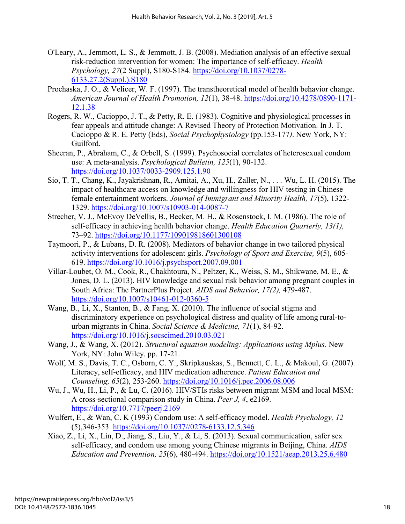- O'Leary, A., Jemmott, L. S., & Jemmott, J. B. (2008). Mediation analysis of an effective sexual risk-reduction intervention for women: The importance of self-efficacy. *Health Psychology, 27*(2 Suppl), S180-S184. [https://doi.org/10.1037/0278-](https://doi.org/10.1037/0278-6133.27.2(Suppl.).S180) [6133.27.2\(Suppl.\).S180](https://doi.org/10.1037/0278-6133.27.2(Suppl.).S180)
- Prochaska, J. O., & Velicer, W. F. (1997). The transtheoretical model of health behavior change. *American Journal of Health Promotion, 12*(1), 38-48. [https://doi.org/10.4278/0890-1171-](https://doi.org/10.4278/0890-1171-12.1.38) [12.1.38](https://doi.org/10.4278/0890-1171-12.1.38)
- Rogers, R. W., Cacioppo, J. T., & Petty, R. E. (1983). Cognitive and physiological processes in fear appeals and attitude change: A Revised Theory of Protection Motivation. In J. T. Cacioppo & R. E. Petty (Eds), *Social Psychophysiology* (pp.153-177*)*. New York, NY: Guilford.
- Sheeran, P., Abraham, C., & Orbell, S. (1999). Psychosocial correlates of heterosexual condom use: A meta-analysis. *Psychological Bulletin, 125*(1), 90-132. <https://doi.org/10.1037/0033-2909.125.1.90>
- Sio, T. T., Chang, K., Jayakrishnan, R., Amitai, A., Xu, H., Zaller, N., . . . Wu, L. H. (2015). The impact of healthcare access on knowledge and willingness for HIV testing in Chinese female entertainment workers. *Journal of Immigrant and Minority Health, 17*(5), 1322- 1329.<https://doi.org/10.1007/s10903-014-0087-7>
- Strecher, V. J., McEvoy DeVellis, B., Becker, M. H., & Rosenstock, I. M. (1986). The role of self-efficacy in achieving health behavior change. *Health Education Quarterly, 13(1),*  73–92.<https://doi.org/10.1177/109019818601300108>
- Taymoori, P., & Lubans, D. R. (2008). Mediators of behavior change in two tailored physical activity interventions for adolescent girls. *Psychology of Sport and Exercise, 9*(5), 605- 619.<https://doi.org/10.1016/j.psychsport.2007.09.001>
- Villar-Loubet, O. M., Cook, R., Chakhtoura, N., Peltzer, K., Weiss, S. M., Shikwane, M. E., & Jones, D. L. (2013). HIV knowledge and sexual risk behavior among pregnant couples in South Africa: The PartnerPlus Project. *AIDS and Behavior, 17(2),* 479-487. <https://doi.org/10.1007/s10461-012-0360-5>
- Wang, B., Li, X., Stanton, B., & Fang, X. (2010). The influence of social stigma and discriminatory experience on psychological distress and quality of life among rural-tourban migrants in China. *Social Science & Medicine, 71*(1), 84-92. <https://doi.org/10.1016/j.socscimed.2010.03.021>
- Wang, J., & Wang, X. (2012). *Structural equation modeling: Applications using Mplus.* New York, NY: John Wiley. pp. 17-21.
- Wolf, M. S., Davis, T. C., Osborn, C. Y., Skripkauskas, S., Bennett, C. L., & Makoul, G. (2007). Literacy, self-efficacy, and HIV medication adherence. *Patient Education and Counseling, 65*(2), 253-260.<https://doi.org/10.1016/j.pec.2006.08.006>
- Wu, J., Wu, H., Li, P., & Lu, C. (2016). HIV/STIs risks between migrant MSM and local MSM: A cross-sectional comparison study in China. *Peer J, 4*, e2169. <https://doi.org/10.7717/peerj.2169>
- Wulfert, E., & Wan, C. K (1993) Condom use: A self-efficacy model. *Health Psychology, 12*  (5),346-353. [https://doi.org/10.1037//0278-6133.12.5.346](https://doi.org/10.1037/0278-6133.12.5.346)
- Xiao, Z., Li, X., Lin, D., Jiang, S., Liu, Y., & Li, S. (2013). Sexual communication, safer sex self-efficacy, and condom use among young Chinese migrants in Beijing, China. *AIDS Education and Prevention, 25*(6), 480-494.<https://doi.org/10.1521/aeap.2013.25.6.480>